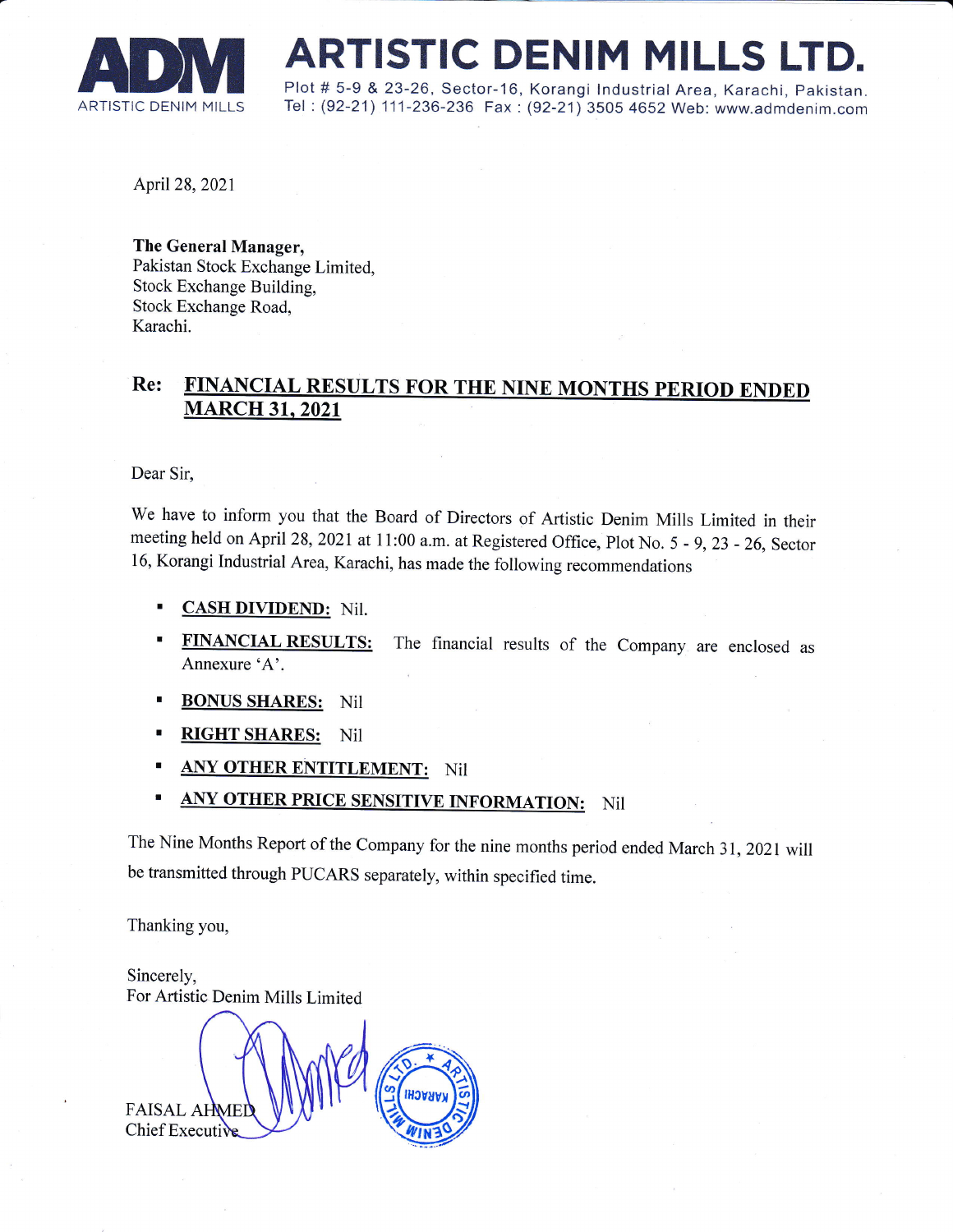

# **ARTISTIC DENIM MILLS**<br>Plot # 5-9 & 23-26, Sector-16, Korangi Industrial Area, Karach<br>ARTISTIC DENIM MILLS Tel: (92-21) 111-236-236 Fax : (92-21) 3505 4652 Web: www.ad

Plot # 5-9 & 23-26, sector-16, Korangi lndustrial Area, Karachi, pakistan. Tel: (92-21) 111-236-236 Fax: (92-21) 3505 4652 Web: www.admdenim.com

April28,2021

The General Manager, Pakistan Stock Exchange Limited, Stock Exchange Building, Stock Exchange Road, Karachi.

## Re: FINANCIAL RESULTS FOR THE NINE MONTHS PERIOD ENDED MARCH 31. 2021

Dear Sir,

We have to inform you that the Board of Directors of Artistic Denim Mills Limited in their meeting held on April 28, 2021 at 11:00 a.m. at Registered Office, Plot No. 5 - g,23 - 26, Sector 16, Korangi Industrial Area, Karachi, has made the following recommendations

- **CASH DIVIDEND:** Nil.
- **FINANCIAL RESULTS:** The financial results of the Company are enclosed as Annexure 'A'.
- **BONUS SHARES:** Nil
- RIGHT SHARES: Nil
- ANY OTHER ENTITLEMENT: Nil
- **ANY OTHER PRICE SENSITIVE INFORMATION:** Nil

The Nine Months Report of the Company for the nine months period ended March 31,2021 will be transmitted through PUCARS separately, within specified time.

Thanking you,

FAISAL AHME Sincerely, For Artistic Denim Mills Limited Chief Executi